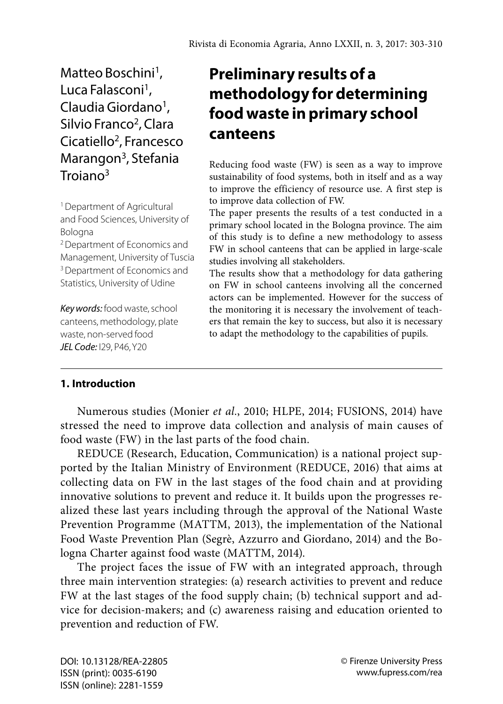Matteo Boschini<sup>1</sup>, Luca Falasconi<sup>1</sup>. Claudia Giordano<sup>1</sup>. Silvio Franco<sup>2</sup>, Clara Cicatiello<sup>2</sup>, Francesco Marangon<sup>3</sup>, Stefania  $T_{\text{roiano}^3}$ 

1 Department of Agricultural and Food Sciences, University of Bologna

2 Department of Economics and Management, University of Tuscia <sup>3</sup> Department of Economics and Statistics, University of Udine

*Key words:* food waste, school canteens, methodology, plate waste, non-served food *JEL Code:* I29, P46, Y20

# **Preliminary results of a methodology for determining food waste in primary school canteens**

Reducing food waste (FW) is seen as a way to improve sustainability of food systems, both in itself and as a way to improve the efficiency of resource use. A first step is to improve data collection of FW.

The paper presents the results of a test conducted in a primary school located in the Bologna province. The aim of this study is to define a new methodology to assess FW in school canteens that can be applied in large-scale studies involving all stakeholders.

The results show that a methodology for data gathering on FW in school canteens involving all the concerned actors can be implemented. However for the success of the monitoring it is necessary the involvement of teachers that remain the key to success, but also it is necessary to adapt the methodology to the capabilities of pupils.

# **1. Introduction**

Numerous studies (Monier *et al.*, 2010; HLPE, 2014; FUSIONS, 2014) have stressed the need to improve data collection and analysis of main causes of food waste (FW) in the last parts of the food chain.

REDUCE (Research, Education, Communication) is a national project supported by the Italian Ministry of Environment (REDUCE, 2016) that aims at collecting data on FW in the last stages of the food chain and at providing innovative solutions to prevent and reduce it. It builds upon the progresses realized these last years including through the approval of the National Waste Prevention Programme (MATTM, 2013), the implementation of the National Food Waste Prevention Plan (Segrè, Azzurro and Giordano, 2014) and the Bologna Charter against food waste (MATTM, 2014).

The project faces the issue of FW with an integrated approach, through three main intervention strategies: (a) research activities to prevent and reduce FW at the last stages of the food supply chain; (b) technical support and advice for decision-makers; and (c) awareness raising and education oriented to prevention and reduction of FW.

DOI: 10.13128/REA-22805 ISSN (print): 0035-6190 ISSN (online): 2281-1559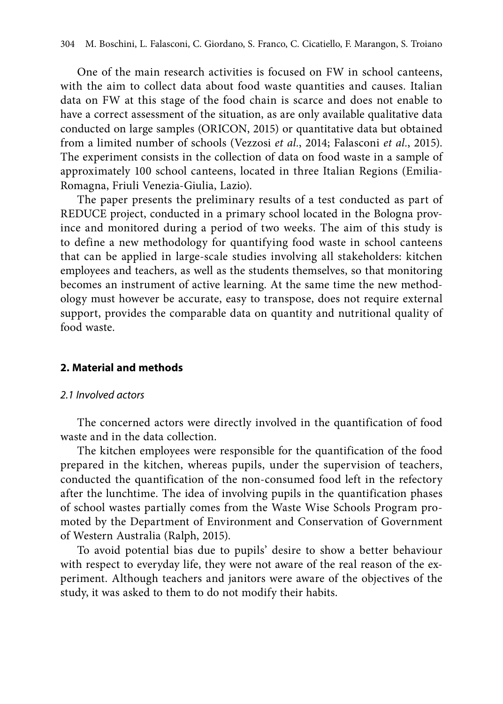One of the main research activities is focused on FW in school canteens, with the aim to collect data about food waste quantities and causes. Italian data on FW at this stage of the food chain is scarce and does not enable to have a correct assessment of the situation, as are only available qualitative data conducted on large samples (ORICON, 2015) or quantitative data but obtained from a limited number of schools (Vezzosi *et al.*, 2014; Falasconi *et al.*, 2015). The experiment consists in the collection of data on food waste in a sample of approximately 100 school canteens, located in three Italian Regions (Emilia-Romagna, Friuli Venezia-Giulia, Lazio).

The paper presents the preliminary results of a test conducted as part of REDUCE project, conducted in a primary school located in the Bologna province and monitored during a period of two weeks. The aim of this study is to define a new methodology for quantifying food waste in school canteens that can be applied in large-scale studies involving all stakeholders: kitchen employees and teachers, as well as the students themselves, so that monitoring becomes an instrument of active learning. At the same time the new methodology must however be accurate, easy to transpose, does not require external support, provides the comparable data on quantity and nutritional quality of food waste.

### **2. Material and methods**

#### *2.1 Involved actors*

The concerned actors were directly involved in the quantification of food waste and in the data collection.

The kitchen employees were responsible for the quantification of the food prepared in the kitchen, whereas pupils, under the supervision of teachers, conducted the quantification of the non-consumed food left in the refectory after the lunchtime. The idea of involving pupils in the quantification phases of school wastes partially comes from the Waste Wise Schools Program promoted by the Department of Environment and Conservation of Government of Western Australia (Ralph, 2015).

To avoid potential bias due to pupils' desire to show a better behaviour with respect to everyday life, they were not aware of the real reason of the experiment. Although teachers and janitors were aware of the objectives of the study, it was asked to them to do not modify their habits.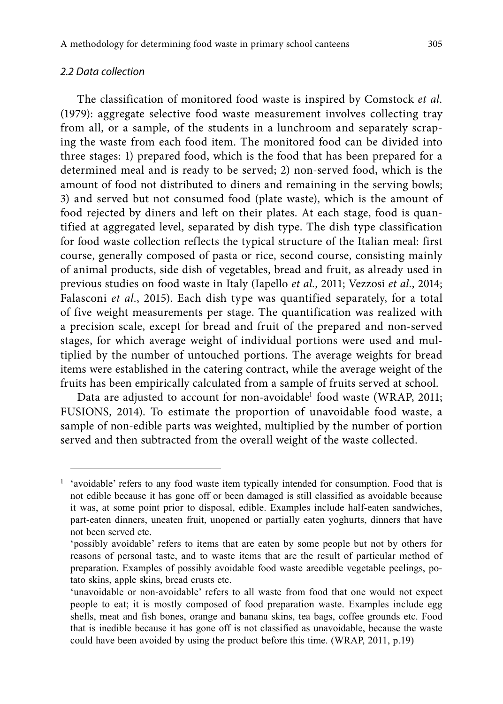# *2.2 Data collection*

The classification of monitored food waste is inspired by Comstock *et al.* (1979): aggregate selective food waste measurement involves collecting tray from all, or a sample, of the students in a lunchroom and separately scraping the waste from each food item. The monitored food can be divided into three stages: 1) prepared food, which is the food that has been prepared for a determined meal and is ready to be served; 2) non-served food, which is the amount of food not distributed to diners and remaining in the serving bowls; 3) and served but not consumed food (plate waste), which is the amount of food rejected by diners and left on their plates. At each stage, food is quantified at aggregated level, separated by dish type. The dish type classification for food waste collection reflects the typical structure of the Italian meal: first course, generally composed of pasta or rice, second course, consisting mainly of animal products, side dish of vegetables, bread and fruit, as already used in previous studies on food waste in Italy (Iapello *et al.*, 2011; Vezzosi *et al.*, 2014; Falasconi *et al.*, 2015). Each dish type was quantified separately, for a total of five weight measurements per stage. The quantification was realized with a precision scale, except for bread and fruit of the prepared and non-served stages, for which average weight of individual portions were used and multiplied by the number of untouched portions. The average weights for bread items were established in the catering contract, while the average weight of the fruits has been empirically calculated from a sample of fruits served at school.

Data are adjusted to account for non-avoidable<sup>1</sup> food waste (WRAP, 2011; FUSIONS, 2014). To estimate the proportion of unavoidable food waste, a sample of non-edible parts was weighted, multiplied by the number of portion served and then subtracted from the overall weight of the waste collected.

<sup>&</sup>lt;sup>1</sup> 'avoidable' refers to any food waste item typically intended for consumption. Food that is not edible because it has gone off or been damaged is still classified as avoidable because it was, at some point prior to disposal, edible. Examples include half-eaten sandwiches, part-eaten dinners, uneaten fruit, unopened or partially eaten yoghurts, dinners that have not been served etc.

<sup>&#</sup>x27;possibly avoidable' refers to items that are eaten by some people but not by others for reasons of personal taste, and to waste items that are the result of particular method of preparation. Examples of possibly avoidable food waste areedible vegetable peelings, potato skins, apple skins, bread crusts etc.

<sup>&#</sup>x27;unavoidable or non-avoidable' refers to all waste from food that one would not expect people to eat; it is mostly composed of food preparation waste. Examples include egg shells, meat and fish bones, orange and banana skins, tea bags, coffee grounds etc. Food that is inedible because it has gone off is not classified as unavoidable, because the waste could have been avoided by using the product before this time. (WRAP, 2011, p.19)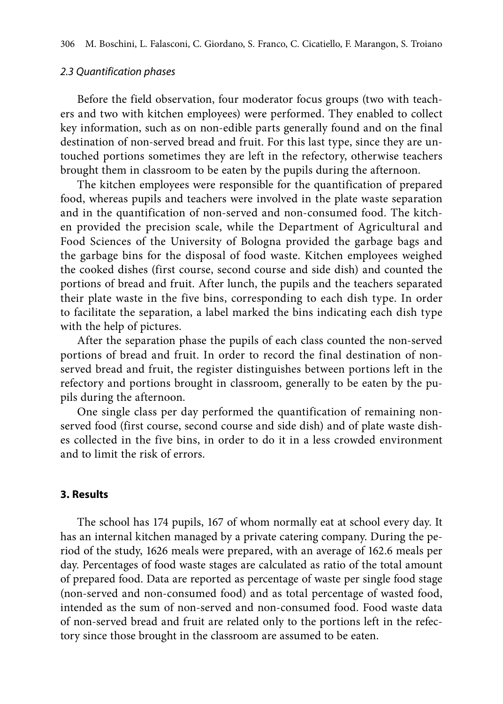### *2.3 Quantification phases*

Before the field observation, four moderator focus groups (two with teachers and two with kitchen employees) were performed. They enabled to collect key information, such as on non-edible parts generally found and on the final destination of non-served bread and fruit. For this last type, since they are untouched portions sometimes they are left in the refectory, otherwise teachers brought them in classroom to be eaten by the pupils during the afternoon.

The kitchen employees were responsible for the quantification of prepared food, whereas pupils and teachers were involved in the plate waste separation and in the quantification of non-served and non-consumed food. The kitchen provided the precision scale, while the Department of Agricultural and Food Sciences of the University of Bologna provided the garbage bags and the garbage bins for the disposal of food waste. Kitchen employees weighed the cooked dishes (first course, second course and side dish) and counted the portions of bread and fruit. After lunch, the pupils and the teachers separated their plate waste in the five bins, corresponding to each dish type. In order to facilitate the separation, a label marked the bins indicating each dish type with the help of pictures.

After the separation phase the pupils of each class counted the non-served portions of bread and fruit. In order to record the final destination of nonserved bread and fruit, the register distinguishes between portions left in the refectory and portions brought in classroom, generally to be eaten by the pupils during the afternoon.

One single class per day performed the quantification of remaining nonserved food (first course, second course and side dish) and of plate waste dishes collected in the five bins, in order to do it in a less crowded environment and to limit the risk of errors.

#### **3. Results**

The school has 174 pupils, 167 of whom normally eat at school every day. It has an internal kitchen managed by a private catering company. During the period of the study, 1626 meals were prepared, with an average of 162.6 meals per day. Percentages of food waste stages are calculated as ratio of the total amount of prepared food. Data are reported as percentage of waste per single food stage (non-served and non-consumed food) and as total percentage of wasted food, intended as the sum of non-served and non-consumed food. Food waste data of non-served bread and fruit are related only to the portions left in the refectory since those brought in the classroom are assumed to be eaten.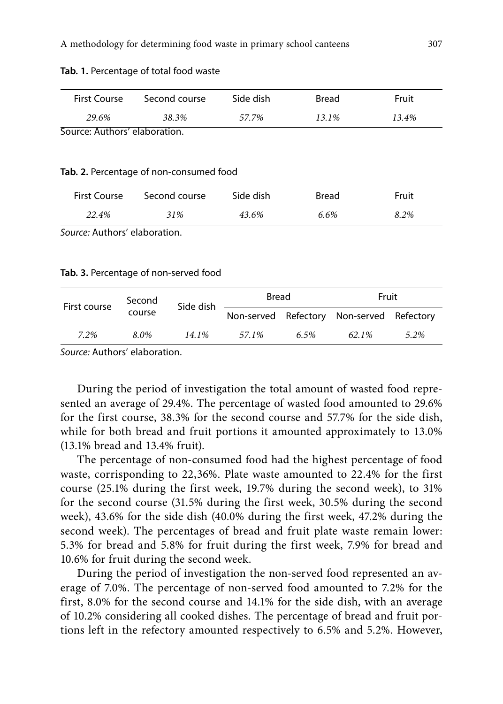| Tab. 1. Percentage of total food waste |  |
|----------------------------------------|--|
|----------------------------------------|--|

| First Course                  | Second course | Side dish | Bread | Fruit |  |
|-------------------------------|---------------|-----------|-------|-------|--|
| 29.6%                         | 38.3%         | 57.7%     | 13.1% | 13.4% |  |
| Source: Authors' elaboration. |               |           |       |       |  |

#### **Tab. 2.** Percentage of non-consumed food

| First Course | Second course | Side dish | Bread | Fruit |
|--------------|---------------|-----------|-------|-------|
| 22.4%        | 31%           | 43.6%     | 6.6%  | 8.2%  |

*Source:* Authors' elaboration.

#### **Tab. 3.** Percentage of non-served food

| Second<br>First course<br>course | Side dish | Bread |       | Fruit |                                           |      |
|----------------------------------|-----------|-------|-------|-------|-------------------------------------------|------|
|                                  |           |       |       |       | Non-served Refectory Non-served Refectory |      |
| 7.2%                             | 8.0%      | 14.1% | 57.1% | 6.5%  | 62.1%                                     | 5.2% |

*Source:* Authors' elaboration.

During the period of investigation the total amount of wasted food represented an average of 29.4%. The percentage of wasted food amounted to 29.6% for the first course, 38.3% for the second course and 57.7% for the side dish, while for both bread and fruit portions it amounted approximately to 13.0% (13.1% bread and 13.4% fruit).

The percentage of non-consumed food had the highest percentage of food waste, corrisponding to 22,36%. Plate waste amounted to 22.4% for the first course (25.1% during the first week, 19.7% during the second week), to 31% for the second course (31.5% during the first week, 30.5% during the second week), 43.6% for the side dish (40.0% during the first week, 47.2% during the second week). The percentages of bread and fruit plate waste remain lower: 5.3% for bread and 5.8% for fruit during the first week, 7.9% for bread and 10.6% for fruit during the second week.

During the period of investigation the non-served food represented an average of 7.0%. The percentage of non-served food amounted to 7.2% for the first, 8.0% for the second course and 14.1% for the side dish, with an average of 10.2% considering all cooked dishes. The percentage of bread and fruit portions left in the refectory amounted respectively to 6.5% and 5.2%. However,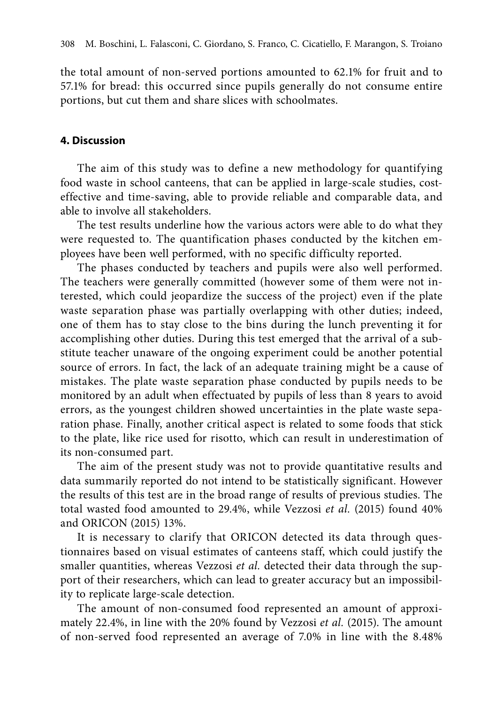the total amount of non-served portions amounted to 62.1% for fruit and to 57.1% for bread: this occurred since pupils generally do not consume entire portions, but cut them and share slices with schoolmates.

# **4. Discussion**

The aim of this study was to define a new methodology for quantifying food waste in school canteens, that can be applied in large-scale studies, costeffective and time-saving, able to provide reliable and comparable data, and able to involve all stakeholders.

The test results underline how the various actors were able to do what they were requested to. The quantification phases conducted by the kitchen employees have been well performed, with no specific difficulty reported.

The phases conducted by teachers and pupils were also well performed. The teachers were generally committed (however some of them were not interested, which could jeopardize the success of the project) even if the plate waste separation phase was partially overlapping with other duties; indeed, one of them has to stay close to the bins during the lunch preventing it for accomplishing other duties. During this test emerged that the arrival of a substitute teacher unaware of the ongoing experiment could be another potential source of errors. In fact, the lack of an adequate training might be a cause of mistakes. The plate waste separation phase conducted by pupils needs to be monitored by an adult when effectuated by pupils of less than 8 years to avoid errors, as the youngest children showed uncertainties in the plate waste separation phase. Finally, another critical aspect is related to some foods that stick to the plate, like rice used for risotto, which can result in underestimation of its non-consumed part.

The aim of the present study was not to provide quantitative results and data summarily reported do not intend to be statistically significant. However the results of this test are in the broad range of results of previous studies. The total wasted food amounted to 29.4%, while Vezzosi *et al.* (2015) found 40% and ORICON (2015) 13%.

It is necessary to clarify that ORICON detected its data through questionnaires based on visual estimates of canteens staff, which could justify the smaller quantities, whereas Vezzosi *et al.* detected their data through the support of their researchers, which can lead to greater accuracy but an impossibility to replicate large-scale detection.

The amount of non-consumed food represented an amount of approximately 22.4%, in line with the 20% found by Vezzosi *et al.* (2015). The amount of non-served food represented an average of 7.0% in line with the 8.48%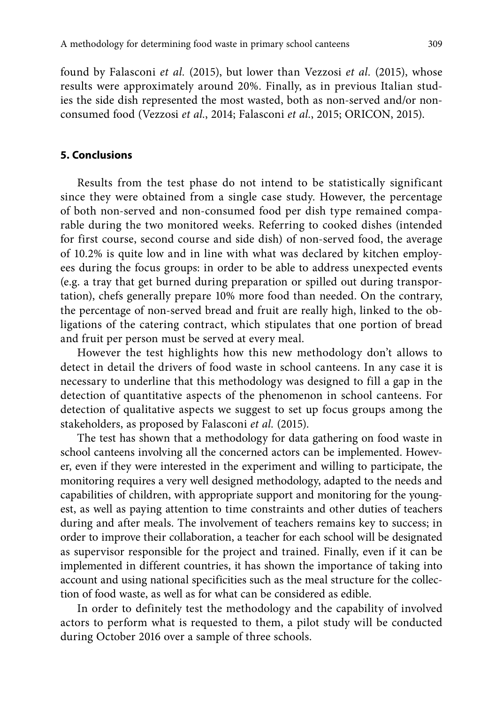found by Falasconi *et al.* (2015), but lower than Vezzosi *et al.* (2015), whose results were approximately around 20%. Finally, as in previous Italian studies the side dish represented the most wasted, both as non-served and/or nonconsumed food (Vezzosi *et al.*, 2014; Falasconi *et al.*, 2015; ORICON, 2015).

# **5. Conclusions**

Results from the test phase do not intend to be statistically significant since they were obtained from a single case study. However, the percentage of both non-served and non-consumed food per dish type remained comparable during the two monitored weeks. Referring to cooked dishes (intended for first course, second course and side dish) of non-served food, the average of 10.2% is quite low and in line with what was declared by kitchen employees during the focus groups: in order to be able to address unexpected events (e.g. a tray that get burned during preparation or spilled out during transportation), chefs generally prepare 10% more food than needed. On the contrary, the percentage of non-served bread and fruit are really high, linked to the obligations of the catering contract, which stipulates that one portion of bread and fruit per person must be served at every meal.

However the test highlights how this new methodology don't allows to detect in detail the drivers of food waste in school canteens. In any case it is necessary to underline that this methodology was designed to fill a gap in the detection of quantitative aspects of the phenomenon in school canteens. For detection of qualitative aspects we suggest to set up focus groups among the stakeholders, as proposed by Falasconi *et al.* (2015).

The test has shown that a methodology for data gathering on food waste in school canteens involving all the concerned actors can be implemented. However, even if they were interested in the experiment and willing to participate, the monitoring requires a very well designed methodology, adapted to the needs and capabilities of children, with appropriate support and monitoring for the youngest, as well as paying attention to time constraints and other duties of teachers during and after meals. The involvement of teachers remains key to success; in order to improve their collaboration, a teacher for each school will be designated as supervisor responsible for the project and trained. Finally, even if it can be implemented in different countries, it has shown the importance of taking into account and using national specificities such as the meal structure for the collection of food waste, as well as for what can be considered as edible.

In order to definitely test the methodology and the capability of involved actors to perform what is requested to them, a pilot study will be conducted during October 2016 over a sample of three schools.